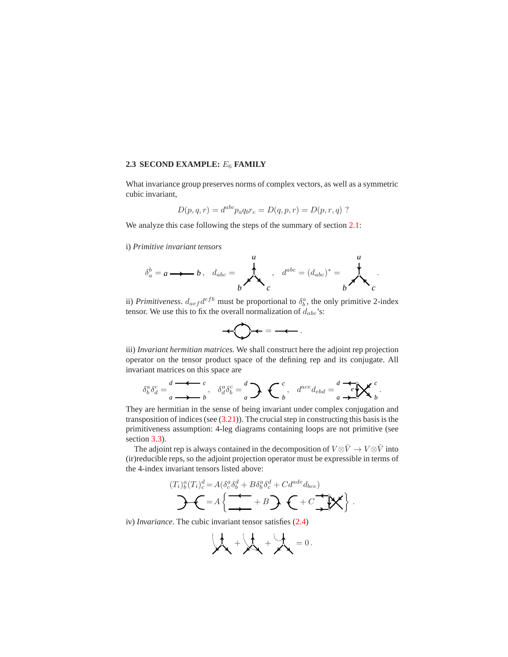## **2.3 SECOND EXAMPLE:** E<sup>6</sup> **FAMILY**

What invariance group preserves norms of complex vectors, as well as a symmetric cubic invariant,

$$
D(p, q, r) = d^{abc} p_a q_b r_c = D(q, p, r) = D(p, r, q)
$$
?

We analyze this case following the steps of the summary of section 2.1:

i) *Primitive invariant tensors*

$$
\delta_a^b = a \longrightarrow b \,, \quad d_{abc} = \n\begin{matrix}\na \\
b\n\end{matrix}\n\,, \quad d^{abc} = (d_{abc})^* = \n\begin{matrix}\na \\
b\n\end{matrix}\n.
$$

ii) *Primitiveness.*  $d_{aef}d^{efb}$  must be proportional to  $\delta_b^a$ , the only primitive 2-index tensor. We use this to fix the overall normalization of  $d_{abc}$ 's:

$$
+\bigotimes\leftarrow=-\leftarrow.
$$

iii) *Invariant hermitian matrices.* We shall construct here the adjoint rep projection operator on the tensor product space of the defining rep and its conjugate. All invariant matrices on this space are

$$
\delta_b^a \delta_d^c = \frac{d}{a} \stackrel{\bullet}{\longrightarrow} \frac{c}{b}, \quad \delta_d^a \delta_b^c = \frac{d}{a} \sum \left\{ \begin{array}{cc} c \\ b \end{array}, \quad d^{ace} d_{ebd} = \frac{d}{a} \stackrel{\bullet}{\longrightarrow} \mathbf{X}^c \end{array}.
$$

They are hermitian in the sense of being invariant under complex conjugation and transposition of indices (see  $(3.21)$ ). The crucial step in constructing this basis is the primitiveness assumption: 4-leg diagrams containing loops are not primitive (see section 3.3).

The adjoint rep is always contained in the decomposition of  $V \otimes \bar{V} \to V \otimes \bar{V}$  into (ir)reducible reps, so the adjoint projection operator must be expressible in terms of the 4-index invariant tensors listed above:

$$
(T_i)_b^a (T_i)_c^d = A \left( \underbrace{\delta_c^a \delta_b^d + B \delta_b^a \delta_c^d + C d^{ade} d_{bce}}_{\blacktriangle} + B \right) \left\{ -C \underbrace{\blacktriangleleft \lbrace \blacktriangleleft \rbrace}_{\blacktriangle} + C \underbrace{\blacktriangleleft \lbrace \blacktriangleleft \rbrace}_{\blacktriangle} \right) \right\} \right\}.
$$

iv) *Invariance*. The cubic invariant tensor satisfies (2.4)

$$
\mathbf{A} + \mathbf{A} + \mathbf{A} = 0.
$$